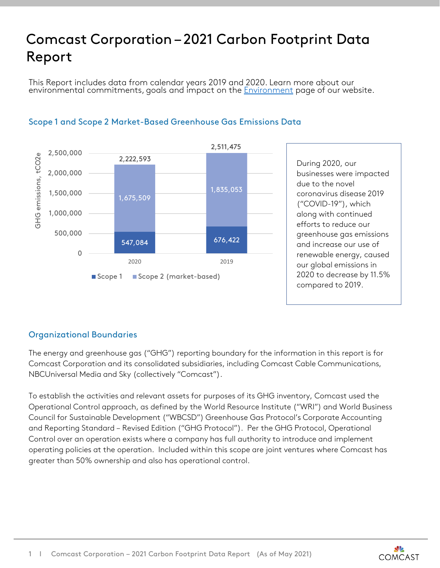## Comcast Corporation – 2021 Carbon Footprint Data Report

This Report includes data from calendar years 2019 and 2020. Learn more about our environmental commitments, goals and impact on the <u>[Environment](https://corporate.comcast.com/impact/environment)</u> page of our website.



## Scope 1 and Scope 2 Market-Based Greenhouse Gas Emissions Data

## Organizational Boundaries

The energy and greenhouse gas ("GHG") reporting boundary for the information in this report is for Comcast Corporation and its consolidated subsidiaries, including Comcast Cable Communications, NBCUniversal Media and Sky (collectively "Comcast").

To establish the activities and relevant assets for purposes of its GHG inventory, Comcast used the Operational Control approach, as defined by the World Resource Institute ("WRI") and World Business Council for Sustainable Development ("WBCSD") Greenhouse Gas Protocol's Corporate Accounting and Reporting Standard – Revised Edition ("GHG Protocol"). Per the GHG Protocol, Operational Control over an operation exists where a company has full authority to introduce and implement operating policies at the operation. Included within this scope are joint ventures where Comcast has greater than 50% ownership and also has operational control.

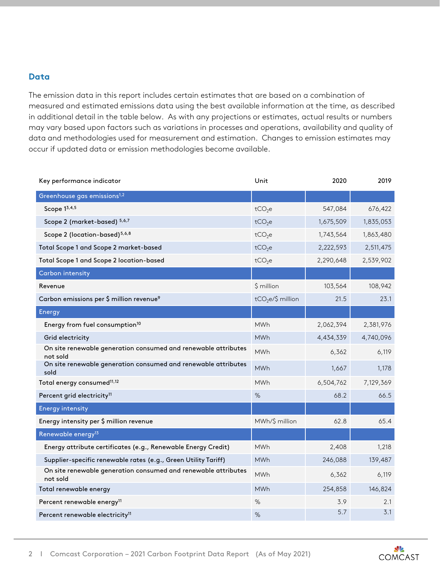## **Data**

The emission data in this report includes certain estimates that are based on a combination of measured and estimated emissions data using the best available information at the time, as described in additional detail in the table below. As with any projections or estimates, actual results or numbers may vary based upon factors such as variations in processes and operations, availability and quality of data and methodologies used for measurement and estimation. Changes to emission estimates may occur if updated data or emission methodologies become available.

| Key performance indicator                                                  | Unit               | 2020      | 2019      |
|----------------------------------------------------------------------------|--------------------|-----------|-----------|
| Greenhouse gas emissions <sup>1,2</sup>                                    |                    |           |           |
| Scope 13,4,5                                                               | tCO <sub>2</sub> e | 547,084   | 676,422   |
| Scope 2 (market-based) 5,6,7                                               | tCO <sub>2</sub> e | 1,675,509 | 1,835,053 |
| Scope 2 (location-based) <sup>5,6,8</sup>                                  | tCO <sub>2</sub> e | 1,743,564 | 1,863,480 |
| Total Scope 1 and Scope 2 market-based                                     | tCO <sub>2</sub> e | 2,222,593 | 2,511,475 |
| Total Scope 1 and Scope 2 location-based                                   | tCO <sub>2</sub> e | 2,290,648 | 2,539,902 |
| Carbon intensity                                                           |                    |           |           |
| Revenue                                                                    | \$ million         | 103,564   | 108,942   |
| Carbon emissions per \$ million revenue <sup>9</sup>                       | $tCO2e/\$$ million | 21.5      | 23.1      |
| Energy                                                                     |                    |           |           |
| Energy from fuel consumption <sup>10</sup>                                 | <b>MWh</b>         | 2,062,394 | 2,381,976 |
| Grid electricity                                                           | <b>MWh</b>         | 4,434,339 | 4,740,096 |
| On site renewable generation consumed and renewable attributes<br>not sold | <b>MWh</b>         | 6,362     | 6,119     |
| On site renewable generation consumed and renewable attributes<br>sold     | <b>MWh</b>         | 1,667     | 1,178     |
| Total energy consumed <sup>11,12</sup>                                     | <b>MWh</b>         | 6,504,762 | 7,129,369 |
| Percent grid electricity <sup>11</sup>                                     | %                  | 68.2      | 66.5      |
| <b>Energy intensity</b>                                                    |                    |           |           |
| Energy intensity per \$ million revenue                                    | MWh/\$ million     | 62.8      | 65.4      |
| Renewable energy <sup>13</sup>                                             |                    |           |           |
| Energy attribute certificates (e.g., Renewable Energy Credit)              | <b>MWh</b>         | 2,408     | 1,218     |
| Supplier-specific renewable rates (e.g., Green Utility Tariff)             | <b>MWh</b>         | 246,088   | 139,487   |
| On site renewable generation consumed and renewable attributes<br>not sold | <b>MWh</b>         | 6,362     | 6,119     |
| Total renewable energy                                                     | <b>MWh</b>         | 254,858   | 146,824   |
| Percent renewable energy <sup>11</sup>                                     | $\%$               | 3.9       | 2.1       |
| Percent renewable electricity <sup>11</sup>                                | %                  | 5.7       | 3.1       |

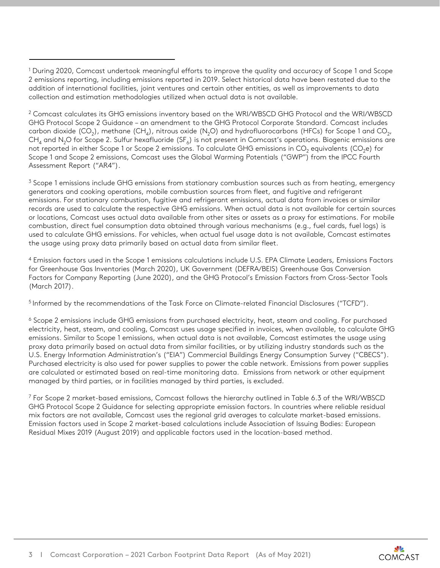<sup>2</sup> Comcast calculates its GHG emissions inventory based on the WRI/WBSCD GHG Protocol and the WRI/WBSCD GHG Protocol Scope 2 Guidance – an amendment to the GHG Protocol Corporate Standard. Comcast includes carbon dioxide (CO<sub>2</sub>), methane (CH<sub>4</sub>), nitrous oxide (N<sub>2</sub>O) and hydrofluorocarbons (HFCs) for Scope 1 and CO<sub>2</sub>,  $CH_4$  and N<sub>2</sub>O for Scope 2. Sulfur hexafluoride (SF<sub>6</sub>) is not present in Comcast's operations. Biogenic emissions are not reported in either Scope 1 or Scope 2 emissions. To calculate GHG emissions in CO<sub>2</sub> equivalents (CO<sub>2</sub>e) for Scope 1 and Scope 2 emissions, Comcast uses the Global Warming Potentials ("GWP") from the IPCC Fourth Assessment Report ("AR4").

<sup>3</sup> Scope 1 emissions include GHG emissions from stationary combustion sources such as from heating, emergency generators and cooking operations, mobile combustion sources from fleet, and fugitive and refrigerant emissions. For stationary combustion, fugitive and refrigerant emissions, actual data from invoices or similar records are used to calculate the respective GHG emissions. When actual data is not available for certain sources or locations, Comcast uses actual data available from other sites or assets as a proxy for estimations. For mobile combustion, direct fuel consumption data obtained through various mechanisms (e.g., fuel cards, fuel logs) is used to calculate GHG emissions. For vehicles, when actual fuel usage data is not available, Comcast estimates the usage using proxy data primarily based on actual data from similar fleet.

<sup>4</sup> Emission factors used in the Scope 1 emissions calculations include U.S. EPA Climate Leaders, Emissions Factors for Greenhouse Gas Inventories (March 2020), UK Government (DEFRA/BEIS) Greenhouse Gas Conversion Factors for Company Reporting (June 2020), and the GHG Protocol's Emission Factors from Cross-Sector Tools (March 2017).

5 Informed by the recommendations of the Task Force on Climate-related Financial Disclosures ("TCFD").

<sup>6</sup> Scope 2 emissions include GHG emissions from purchased electricity, heat, steam and cooling. For purchased electricity, heat, steam, and cooling, Comcast uses usage specified in invoices, when available, to calculate GHG emissions. Similar to Scope 1 emissions, when actual data is not available, Comcast estimates the usage using proxy data primarily based on actual data from similar facilities, or by utilizing industry standards such as the U.S. Energy Information Administration's ("EIA") Commercial Buildings Energy Consumption Survey ("CBECS"). Purchased electricity is also used for power supplies to power the cable network. Emissions from power supplies are calculated or estimated based on real-time monitoring data. Emissions from network or other equipment managed by third parties, or in facilities managed by third parties, is excluded.

<sup>7</sup> For Scope 2 market-based emissions, Comcast follows the hierarchy outlined in Table 6.3 of the WRI/WBSCD GHG Protocol Scope 2 Guidance for selecting appropriate emission factors. In countries where reliable residual mix factors are not available, Comcast uses the regional grid averages to calculate market-based emissions. Emission factors used in Scope 2 market-based calculations include Association of Issuing Bodies: European Residual Mixes 2019 (August 2019) and applicable factors used in the location-based method.

<sup>1</sup> During 2020, Comcast undertook meaningful efforts to improve the quality and accuracy of Scope 1 and Scope 2 emissions reporting, including emissions reported in 2019. Select historical data have been restated due to the addition of international facilities, joint ventures and certain other entities, as well as improvements to data collection and estimation methodologies utilized when actual data is not available.